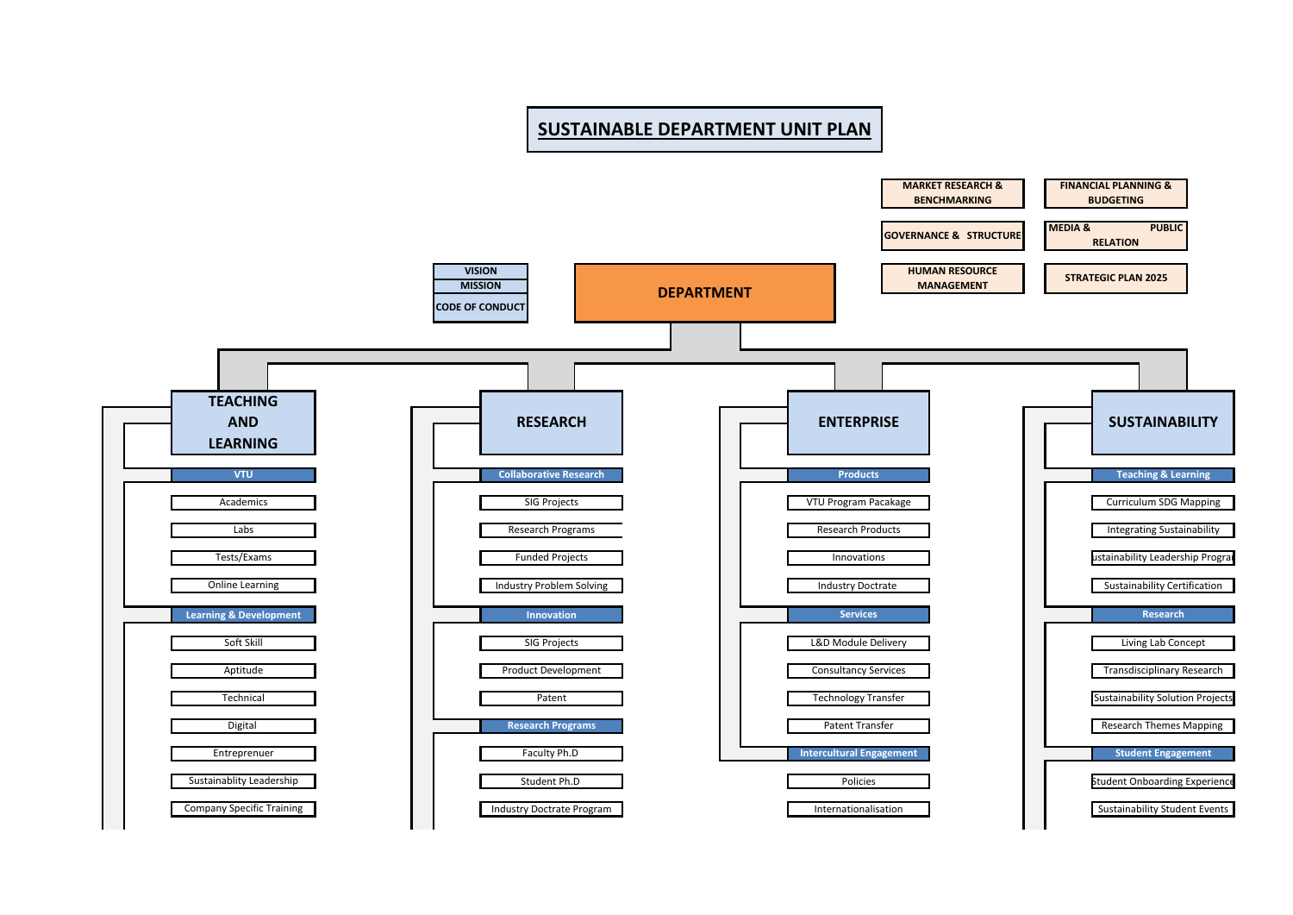## **SUSTAINABLE DEPARTMENT UNIT PLAN**

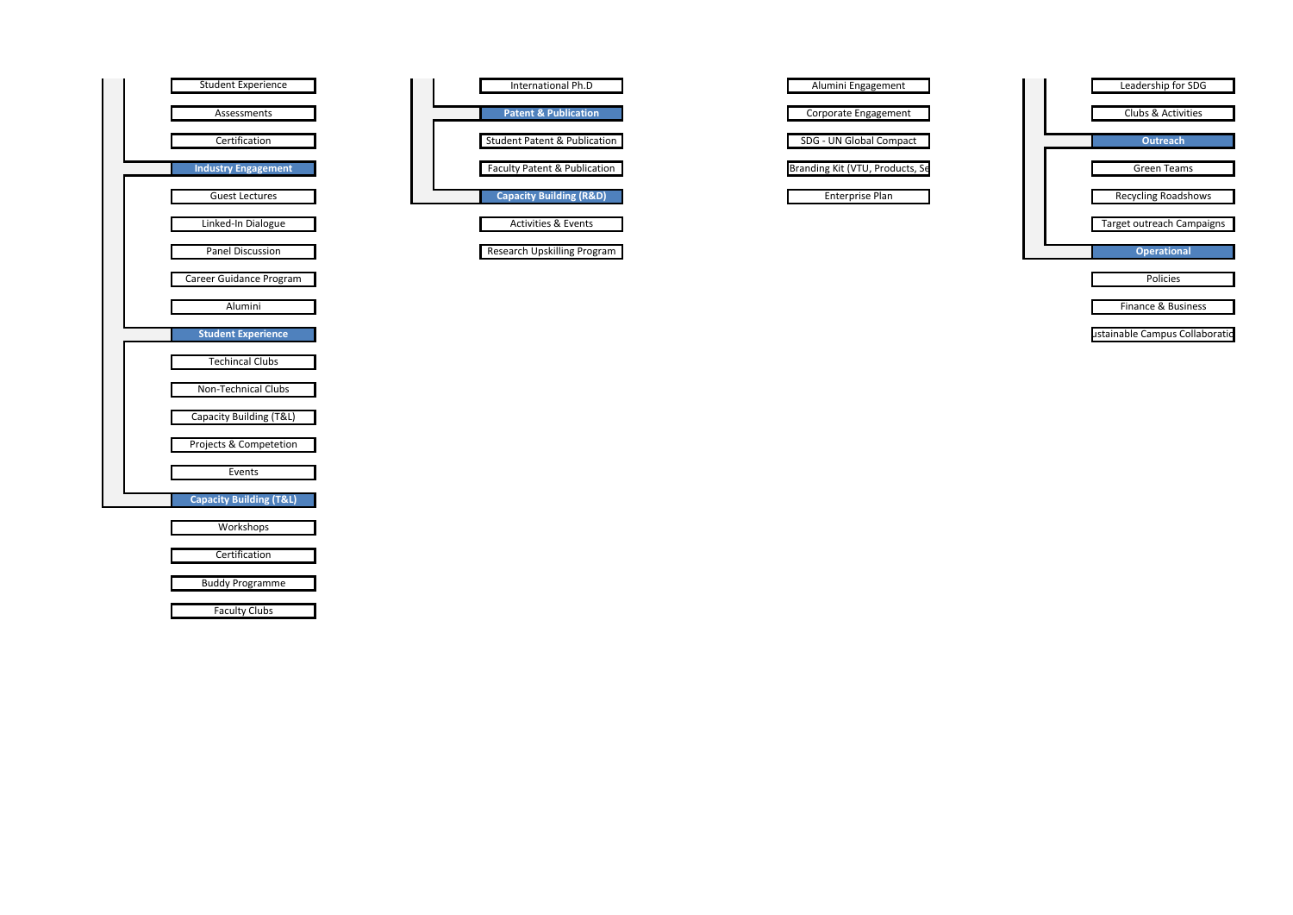



ustainable Campus Collaboratio

| Alumini Engagement              |
|---------------------------------|
|                                 |
| Corporate Engagement            |
|                                 |
| SDG - UN Global Compact         |
|                                 |
| Branding Kit (VTU, Products, Se |
|                                 |
| <b>Enterprise Plan</b>          |

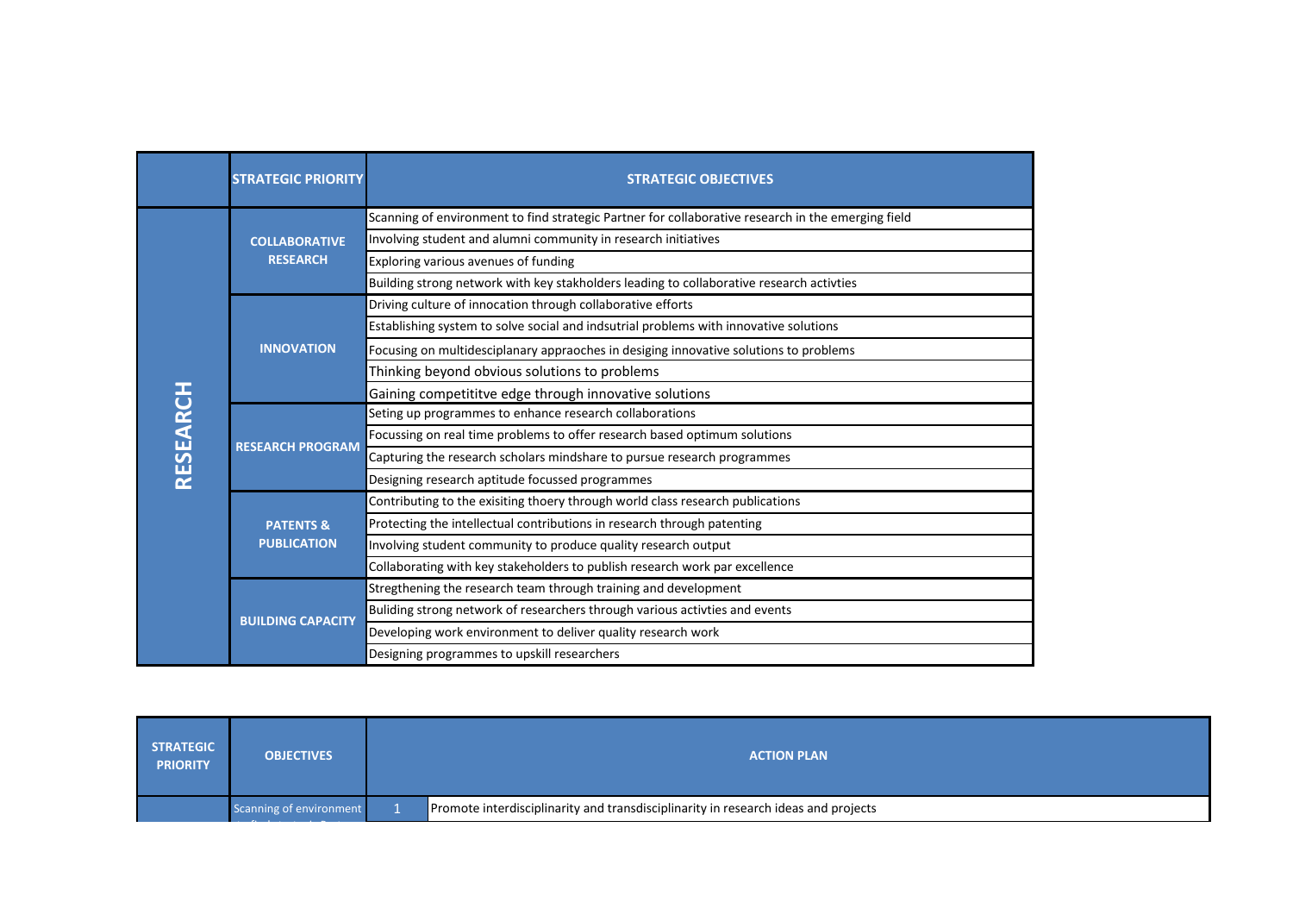|                 | <b>STRATEGIC PRIORITY</b>                  | <b>STRATEGIC OBJECTIVES</b>                                                                        |
|-----------------|--------------------------------------------|----------------------------------------------------------------------------------------------------|
|                 | <b>COLLABORATIVE</b><br><b>RESEARCH</b>    | Scanning of environment to find strategic Partner for collaborative research in the emerging field |
|                 |                                            | Involving student and alumni community in research initiatives                                     |
|                 |                                            | Exploring various avenues of funding                                                               |
|                 |                                            | Building strong network with key stakholders leading to collaborative research activties           |
|                 | <b>INNOVATION</b>                          | Driving culture of innocation through collaborative efforts                                        |
|                 |                                            | Establishing system to solve social and indsutrial problems with innovative solutions              |
|                 |                                            | Focusing on multidesciplanary appraoches in desiging innovative solutions to problems              |
|                 |                                            | Thinking beyond obvious solutions to problems                                                      |
|                 |                                            | Gaining competititve edge through innovative solutions                                             |
|                 | <b>RESEARCH PROGRAM</b>                    | Seting up programmes to enhance research collaborations                                            |
| <b>RESEARCH</b> |                                            | Focussing on real time problems to offer research based optimum solutions                          |
|                 |                                            | Capturing the research scholars mindshare to pursue research programmes                            |
|                 |                                            | Designing research aptitude focussed programmes                                                    |
|                 | <b>PATENTS &amp;</b><br><b>PUBLICATION</b> | Contributing to the exisiting thoery through world class research publications                     |
|                 |                                            | Protecting the intellectual contributions in research through patenting                            |
|                 |                                            | Involving student community to produce quality research output                                     |
|                 |                                            | Collaborating with key stakeholders to publish research work par excellence                        |
|                 | <b>BUILDING CAPACITY</b>                   | Stregthening the research team through training and development                                    |
|                 |                                            | Buliding strong network of researchers through various activties and events                        |
|                 |                                            | Developing work environment to deliver quality research work                                       |
|                 |                                            | Designing programmes to upskill researchers                                                        |

| <b>ACTION PLAN</b>                                                                 |
|------------------------------------------------------------------------------------|
| Promote interdisciplinarity and transdisciplinarity in research ideas and projects |
| <b>OBJECTIVES</b><br>Scanning of environment                                       |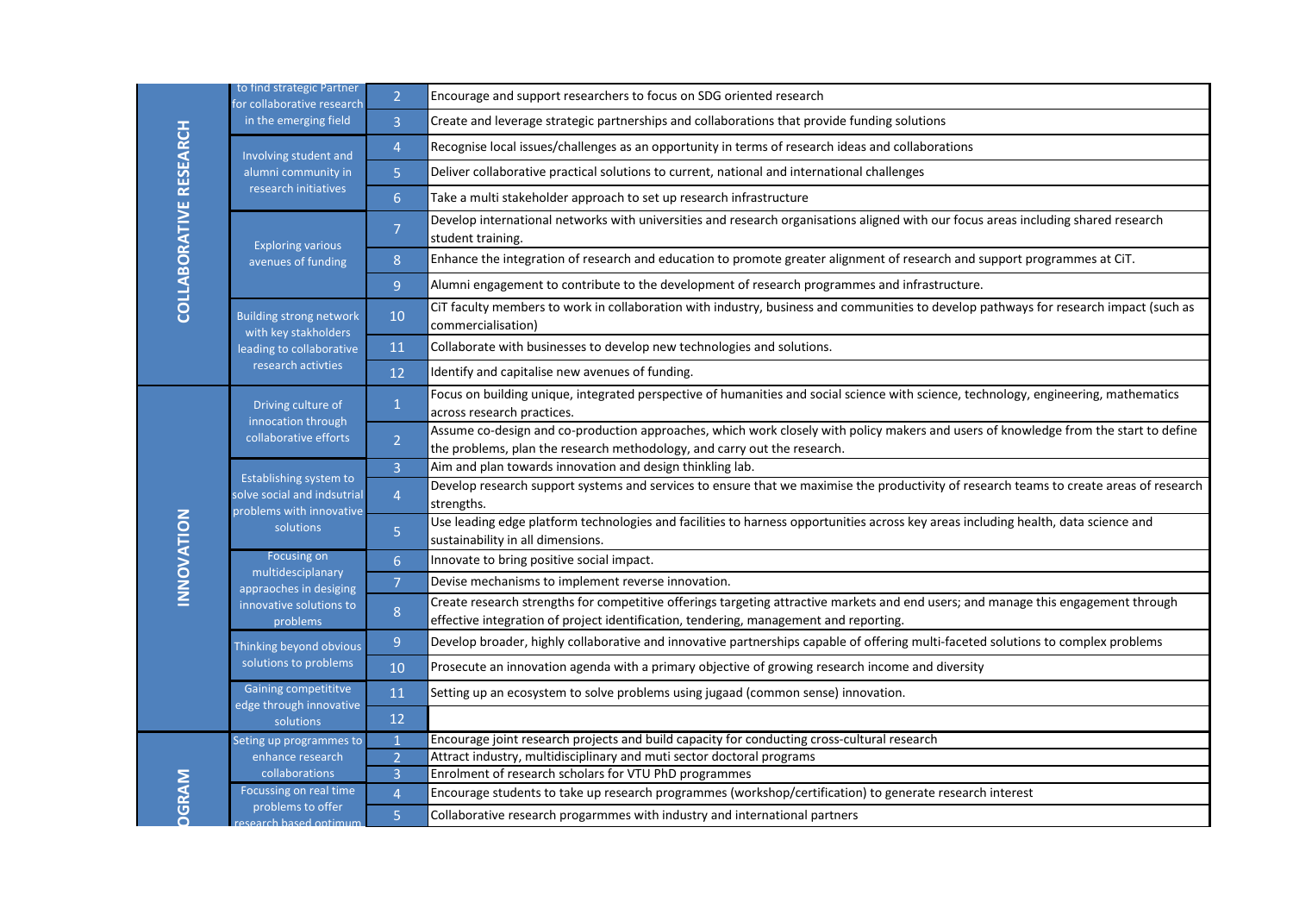| <b>COLLABORATIVE RESEARCH</b> | for collaborative research<br>in the emerging field                                                      | $\overline{3}$ | Create and leverage strategic partnerships and collaborations that provide funding solutions                                                                                                                                |
|-------------------------------|----------------------------------------------------------------------------------------------------------|----------------|-----------------------------------------------------------------------------------------------------------------------------------------------------------------------------------------------------------------------------|
|                               | Involving student and<br>alumni community in<br>research initiatives                                     | $\overline{4}$ | Recognise local issues/challenges as an opportunity in terms of research ideas and collaborations                                                                                                                           |
|                               |                                                                                                          | $\overline{5}$ | Deliver collaborative practical solutions to current, national and international challenges                                                                                                                                 |
|                               |                                                                                                          | 6 <sup>1</sup> | Take a multi stakeholder approach to set up research infrastructure                                                                                                                                                         |
|                               | <b>Exploring various</b><br>avenues of funding                                                           | $\overline{7}$ | Develop international networks with universities and research organisations aligned with our focus areas including shared research<br>student training.                                                                     |
|                               |                                                                                                          | 8              | Enhance the integration of research and education to promote greater alignment of research and support programmes at CiT.                                                                                                   |
|                               |                                                                                                          | 9 <sup>°</sup> | Alumni engagement to contribute to the development of research programmes and infrastructure.                                                                                                                               |
|                               | <b>Building strong network</b><br>with key stakholders<br>leading to collaborative<br>research activties | 10             | CiT faculty members to work in collaboration with industry, business and communities to develop pathways for research impact (such as<br>commercialisation)                                                                 |
|                               |                                                                                                          | 11             | Collaborate with businesses to develop new technologies and solutions.                                                                                                                                                      |
|                               |                                                                                                          | 12             | Identify and capitalise new avenues of funding.                                                                                                                                                                             |
|                               | Driving culture of<br>innocation through<br>collaborative efforts                                        | $\mathbf{1}$   | Focus on building unique, integrated perspective of humanities and social science with science, technology, engineering, mathematics<br>across research practices.                                                          |
|                               |                                                                                                          | $\overline{2}$ | Assume co-design and co-production approaches, which work closely with policy makers and users of knowledge from the start to define<br>the problems, plan the research methodology, and carry out the research.            |
|                               | Establishing system to<br>solve social and indsutrial<br>problems with innovative                        | $\overline{3}$ | Aim and plan towards innovation and design thinkling lab.                                                                                                                                                                   |
|                               |                                                                                                          | $\overline{4}$ | Develop research support systems and services to ensure that we maximise the productivity of research teams to create areas of research<br>strengths.                                                                       |
| <b>NOITAVONNI</b>             | solutions                                                                                                | 5              | Use leading edge platform technologies and facilities to harness opportunities across key areas including health, data science and<br>sustainability in all dimensions.                                                     |
|                               | Focusing on<br>multidesciplanary<br>appraoches in desiging<br>innovative solutions to<br>problems        | 6 <sup>1</sup> | Innovate to bring positive social impact.                                                                                                                                                                                   |
|                               |                                                                                                          | 7 <sup>1</sup> | Devise mechanisms to implement reverse innovation.                                                                                                                                                                          |
|                               |                                                                                                          | $\, 8$         | Create research strengths for competitive offerings targeting attractive markets and end users; and manage this engagement through<br>effective integration of project identification, tendering, management and reporting. |
|                               | Thinking beyond obvious<br>solutions to problems                                                         | 9 <sup>°</sup> | Develop broader, highly collaborative and innovative partnerships capable of offering multi-faceted solutions to complex problems                                                                                           |
|                               |                                                                                                          | 10             | Prosecute an innovation agenda with a primary objective of growing research income and diversity                                                                                                                            |
|                               | Gaining competititve<br>edge through innovative<br>solutions                                             | 11             | Setting up an ecosystem to solve problems using jugaad (common sense) innovation.                                                                                                                                           |
|                               |                                                                                                          | 12             |                                                                                                                                                                                                                             |
| <b>DGRAM</b>                  | Seting up programmes to                                                                                  |                | Encourage joint research projects and build capacity for conducting cross-cultural research                                                                                                                                 |
|                               | enhance research<br>collaborations                                                                       | $\overline{2}$ | Attract industry, multidisciplinary and muti sector doctoral programs<br>Enrolment of research scholars for VTU PhD programmes                                                                                              |
|                               | Focussing on real time                                                                                   | $\overline{4}$ | Encourage students to take up research programmes (workshop/certification) to generate research interest                                                                                                                    |
|                               | problems to offer                                                                                        | 5 <sub>1</sub> | Collaborative research progarmmes with industry and international partners                                                                                                                                                  |
|                               | esearch based optimum                                                                                    |                |                                                                                                                                                                                                                             |
|                               |                                                                                                          |                |                                                                                                                                                                                                                             |